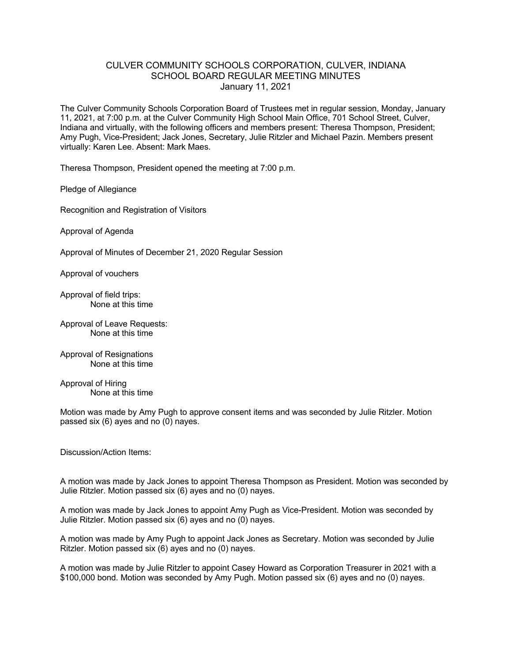## CULVER COMMUNITY SCHOOLS CORPORATION, CULVER, INDIANA SCHOOL BOARD REGULAR MEETING MINUTES January 11, 2021

The Culver Community Schools Corporation Board of Trustees met in regular session, Monday, January 11, 2021, at 7:00 p.m. at the Culver Community High School Main Office, 701 School Street, Culver, Indiana and virtually, with the following officers and members present: Theresa Thompson, President; Amy Pugh, Vice-President; Jack Jones, Secretary, Julie Ritzler and Michael Pazin. Members present virtually: Karen Lee. Absent: Mark Maes.

Theresa Thompson, President opened the meeting at 7:00 p.m.

Pledge of Allegiance

Recognition and Registration of Visitors

Approval of Agenda

Approval of Minutes of December 21, 2020 Regular Session

Approval of vouchers

Approval of field trips: None at this time

Approval of Leave Requests: None at this time

Approval of Resignations None at this time

Approval of Hiring None at this time

Motion was made by Amy Pugh to approve consent items and was seconded by Julie Ritzler. Motion passed six (6) ayes and no (0) nayes.

Discussion/Action Items:

A motion was made by Jack Jones to appoint Theresa Thompson as President. Motion was seconded by Julie Ritzler. Motion passed six (6) ayes and no (0) nayes.

A motion was made by Jack Jones to appoint Amy Pugh as Vice-President. Motion was seconded by Julie Ritzler. Motion passed six (6) ayes and no (0) nayes.

A motion was made by Amy Pugh to appoint Jack Jones as Secretary. Motion was seconded by Julie Ritzler. Motion passed six (6) ayes and no (0) nayes.

A motion was made by Julie Ritzler to appoint Casey Howard as Corporation Treasurer in 2021 with a \$100,000 bond. Motion was seconded by Amy Pugh. Motion passed six (6) ayes and no (0) nayes.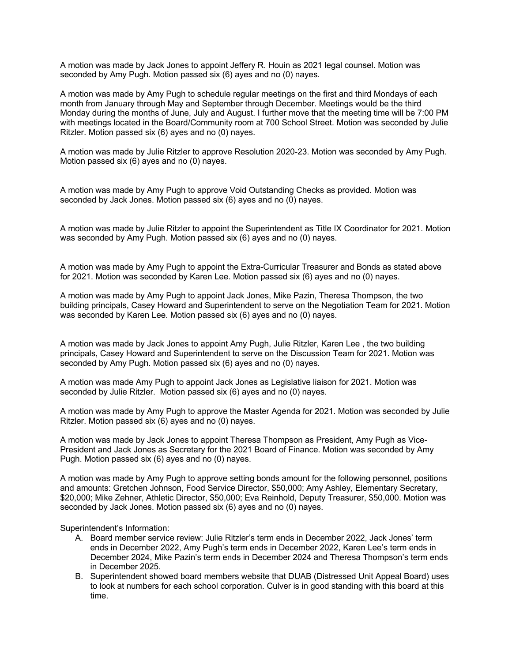A motion was made by Jack Jones to appoint Jeffery R. Houin as 2021 legal counsel. Motion was seconded by Amy Pugh. Motion passed six (6) ayes and no (0) nayes.

A motion was made by Amy Pugh to schedule regular meetings on the first and third Mondays of each month from January through May and September through December. Meetings would be the third Monday during the months of June, July and August. I further move that the meeting time will be 7:00 PM with meetings located in the Board/Community room at 700 School Street. Motion was seconded by Julie Ritzler. Motion passed six (6) ayes and no (0) nayes.

A motion was made by Julie Ritzler to approve Resolution 2020-23. Motion was seconded by Amy Pugh. Motion passed six (6) ayes and no (0) nayes.

A motion was made by Amy Pugh to approve Void Outstanding Checks as provided. Motion was seconded by Jack Jones. Motion passed six (6) ayes and no (0) nayes.

A motion was made by Julie Ritzler to appoint the Superintendent as Title IX Coordinator for 2021. Motion was seconded by Amy Pugh. Motion passed six (6) ayes and no (0) nayes.

A motion was made by Amy Pugh to appoint the Extra-Curricular Treasurer and Bonds as stated above for 2021. Motion was seconded by Karen Lee. Motion passed six (6) ayes and no (0) nayes.

A motion was made by Amy Pugh to appoint Jack Jones, Mike Pazin, Theresa Thompson, the two building principals, Casey Howard and Superintendent to serve on the Negotiation Team for 2021. Motion was seconded by Karen Lee. Motion passed six (6) ayes and no (0) nayes.

A motion was made by Jack Jones to appoint Amy Pugh, Julie Ritzler, Karen Lee , the two building principals, Casey Howard and Superintendent to serve on the Discussion Team for 2021. Motion was seconded by Amy Pugh. Motion passed six (6) ayes and no (0) nayes.

A motion was made Amy Pugh to appoint Jack Jones as Legislative liaison for 2021. Motion was seconded by Julie Ritzler. Motion passed six (6) ayes and no (0) nayes.

A motion was made by Amy Pugh to approve the Master Agenda for 2021. Motion was seconded by Julie Ritzler. Motion passed six (6) ayes and no (0) nayes.

A motion was made by Jack Jones to appoint Theresa Thompson as President, Amy Pugh as Vice-President and Jack Jones as Secretary for the 2021 Board of Finance. Motion was seconded by Amy Pugh. Motion passed six (6) ayes and no (0) nayes.

A motion was made by Amy Pugh to approve setting bonds amount for the following personnel, positions and amounts: Gretchen Johnson, Food Service Director, \$50,000; Amy Ashley, Elementary Secretary, \$20,000; Mike Zehner, Athletic Director, \$50,000; Eva Reinhold, Deputy Treasurer, \$50,000. Motion was seconded by Jack Jones. Motion passed six (6) ayes and no (0) nayes.

Superintendent's Information:

- A. Board member service review: Julie Ritzler's term ends in December 2022, Jack Jones' term ends in December 2022, Amy Pugh's term ends in December 2022, Karen Lee's term ends in December 2024, Mike Pazin's term ends in December 2024 and Theresa Thompson's term ends in December 2025.
- B. Superintendent showed board members website that DUAB (Distressed Unit Appeal Board) uses to look at numbers for each school corporation. Culver is in good standing with this board at this time.